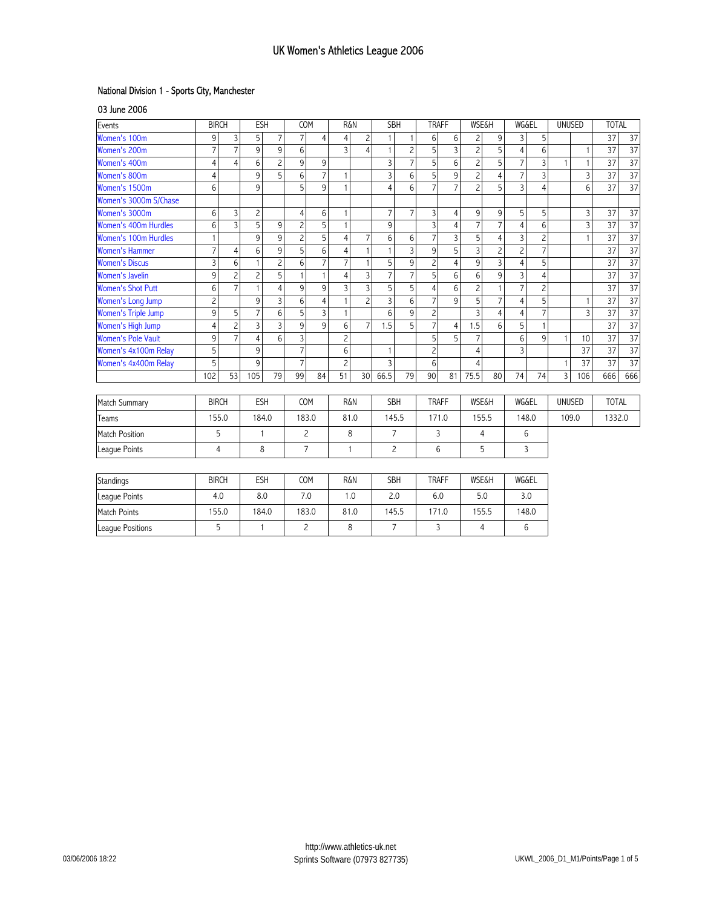## National Division 1 - Sports City, Manchester

03 June 2006

| Events                      | <b>BIRCH</b>   |                         | <b>ESH</b>     |                | COM            |                | <b>R&amp;N</b> |                                | <b>SBH</b>              |                              | <b>TRAFF</b>   |                                  | <b>WSE&amp;H</b> |                | <b>WG&amp;EL</b>        |                | <b>UNUSED</b> |                | <b>TOTAL</b> |                 |
|-----------------------------|----------------|-------------------------|----------------|----------------|----------------|----------------|----------------|--------------------------------|-------------------------|------------------------------|----------------|----------------------------------|------------------|----------------|-------------------------|----------------|---------------|----------------|--------------|-----------------|
| Women's 100m                | 9              | 3                       | 5              | $\overline{7}$ | $\overline{7}$ | $\overline{4}$ | $\overline{4}$ | $\overline{c}$                 |                         | $\mathbf{1}$<br>$\mathbf{1}$ |                | $6\phantom{a}$<br>$6\phantom{1}$ |                  | 9              | $\overline{3}$          | 5              |               |                | 37           | 37              |
| Women's 200m                | $\overline{7}$ | $\overline{7}$          | 9              | 9              | 6              |                | $\overline{3}$ | $\mathbf{1}$<br>$\overline{4}$ |                         | $\overline{c}$               | 5              | 3                                | $\overline{c}$   | 5              | $\overline{4}$          | 6              |               | 1              | 37           | 37              |
| Women's 400m                | $\overline{4}$ | $\overline{4}$          | $6\,$          | $\overline{c}$ | 9              | 9              |                |                                | $\overline{\mathbf{3}}$ | $\overline{7}$               | $\overline{5}$ | $6\phantom{1}$                   | $\overline{c}$   | $\overline{5}$ | $\overline{7}$          | $\overline{3}$ | 1             | 1              | 37           | 37              |
| Women's 800m                | $\overline{4}$ |                         | 9              | 5              | 6              | $\overline{7}$ | $\mathbf{1}$   |                                | $\overline{3}$          | 6                            | $\overline{5}$ | 9                                | $\overline{c}$   | $\overline{4}$ | $\overline{7}$          | $\overline{3}$ |               | 3              | 37           | $\overline{37}$ |
| Women's 1500m               | 6              |                         | 9              |                | 5              | 9              | $\mathbf{1}$   |                                | $\overline{4}$          | $6\phantom{1}6$              | $\overline{7}$ | $\overline{7}$                   | $\overline{c}$   | 5              | $\overline{3}$          | $\overline{4}$ |               | 6              | 37           | 37              |
| Women's 3000m S/Chase       |                |                         |                |                |                |                |                |                                |                         | $\overline{7}$               |                |                                  |                  |                |                         |                |               |                |              |                 |
| Women's 3000m               | 6              | 3                       | $\overline{c}$ |                | 4              | 6              | $\mathbf{1}$   |                                |                         | $\overline{7}$               | 3              | 4                                | 9                | 9              | 5                       | 5              |               | 3              | 37           | 37              |
| <b>Women's 400m Hurdles</b> | 6              | $\overline{\mathbf{3}}$ | $\overline{5}$ | 9              | $\overline{c}$ | $\overline{5}$ | $\mathbf{1}$   |                                |                         |                              | $\overline{3}$ | $\overline{4}$                   | $\overline{7}$   | $\overline{7}$ | $\overline{4}$          | $6\,$          |               | 3              | 37           | 37              |
| Women's 100m Hurdles        | $\mathbf{1}$   |                         | 9              | 9              | $\overline{c}$ | 5              | $\overline{4}$ | $\overline{7}$                 | $6\phantom{1}$          | 6                            | $\overline{7}$ | $\overline{3}$                   | $\overline{5}$   | $\overline{4}$ | $\overline{3}$          | $\overline{c}$ |               | 1              | 37           | $\overline{37}$ |
| <b>Women's Hammer</b>       | $\overline{7}$ | $\overline{4}$          | 6              | 9              | 5              | 6              | $\overline{4}$ | $\mathbf{1}$                   | $\mathbf{1}$            | $\overline{3}$               | 9              | 5                                | $\overline{3}$   | $\overline{c}$ | $\overline{c}$          | $\overline{7}$ |               |                | 37           | $\overline{37}$ |
| <b>Women's Discus</b>       | 3              | 6                       | 1              | $\overline{c}$ | 6              | $\overline{7}$ | $\overline{7}$ | $\mathbf{1}$                   |                         | 9                            | $\overline{c}$ | $\overline{4}$                   | 9                | $\overline{3}$ | $\overline{4}$          | 5              |               |                | 37           | $\overline{37}$ |
| <b>Women's Javelin</b>      | 9              | $\overline{c}$          | $\overline{c}$ | 5              | $\mathbf{1}$   | 1              | $\overline{4}$ | 3                              |                         | $\overline{7}$               | 5              | 6                                | $6\phantom{1}6$  | 9              | $\overline{\mathbf{3}}$ | $\overline{4}$ |               |                | 37           | $\overline{37}$ |
| <b>Women's Shot Putt</b>    | 6              | $\overline{7}$          | $\mathbf{1}$   | $\overline{4}$ | 9              | 9              | $\overline{3}$ | $\overline{3}$                 |                         | 5                            | $\overline{4}$ | $6\phantom{1}$                   | $\overline{c}$   | $\mathbf{1}$   | $\overline{7}$          | $\overline{c}$ |               |                | 37           | $\overline{37}$ |
| Women's Long Jump           | $\overline{c}$ |                         | 9              | $\overline{3}$ | 6              | $\overline{4}$ | $\mathbf{1}$   | $\overline{c}$                 | $\overline{3}$          | $6\phantom{1}6$              | $\overline{7}$ | 9                                | 5                | $\overline{7}$ | $\overline{4}$          | 5              |               | $\mathbf{1}$   | 37           | 37              |
| <b>Women's Triple Jump</b>  | 9              | 5                       | $\overline{7}$ | 6              | 5              | $\overline{3}$ | $\mathbf{1}$   |                                | 6                       | 9                            | $\overline{2}$ |                                  | $\overline{3}$   | $\overline{4}$ | $\overline{4}$          | $\overline{7}$ |               | $\overline{3}$ | 37           | $\overline{37}$ |
| Women's High Jump           | $\overline{4}$ | $\overline{c}$          | 3              | $\overline{3}$ | 9              | 9              | 6              | $\overline{7}$                 | 1.5                     | 5                            | $\overline{7}$ | 4                                | 1.5              | 6              | 5                       | $\mathbf{1}$   |               |                | 37           | $\overline{37}$ |
| <b>Women's Pole Vault</b>   | 9              | $\overline{7}$          | $\overline{4}$ | 6              | $\overline{3}$ |                | $\overline{c}$ |                                |                         |                              | 5              | 5                                | $\overline{7}$   |                | $6\phantom{1}6$         | 9              | $\mathbf{1}$  | 10             | 37           | $\overline{37}$ |
| Women's 4x100m Relay        | 5              |                         | 9              |                | $\overline{7}$ |                | 6              |                                | $\overline{1}$          |                              | $\overline{c}$ |                                  | $\overline{4}$   |                | $\overline{3}$          |                |               | 37             | 37           | $\overline{37}$ |
| Women's 4x400m Relay        | 5              |                         | 9              |                | $\overline{7}$ |                | $\overline{c}$ |                                | $\overline{3}$          |                              | 6              |                                  | $\overline{4}$   |                |                         |                | $\mathbf{1}$  | 37             | 37           | $\overline{37}$ |
|                             | 102            | 53                      | 105            | 79             | 99             | 84             | 51             | 30 <sup>1</sup>                | 66.5                    | 79                           | 90             | 81                               | 75.5             | 80             | 74                      | 74             | 3             | 106            | 666          | 666             |
| Match Summary               | <b>BIRCH</b>   |                         | <b>ESH</b>     |                | COM            |                | R&N            |                                | <b>SBH</b>              |                              | <b>TRAFF</b>   |                                  | <b>WSE&amp;H</b> |                | <b>WG&amp;EL</b>        |                | <b>UNUSED</b> |                | <b>TOTAL</b> |                 |
| Teams                       | 155.0          |                         | 184.0          |                | 183.0          |                | 81.0           |                                | 145.5                   |                              | 171.0          |                                  | 155.5            |                | 148.0                   |                | 109.0         |                | 1332.0       |                 |
| <b>Match Position</b>       | 5              |                         | $\mathbf{1}$   |                | $\overline{c}$ |                | 8              |                                | $\overline{7}$          |                              | 3              |                                  | $\overline{4}$   |                | 6                       |                |               |                |              |                 |
| League Points               | $\overline{4}$ |                         | 8              |                | $\overline{7}$ |                | $\overline{1}$ |                                | $\overline{c}$          |                              | 6              |                                  | 5                |                | 3                       |                |               |                |              |                 |
|                             |                |                         |                |                |                |                |                |                                |                         |                              |                |                                  |                  |                |                         |                |               |                |              |                 |
| Standings                   | <b>BIRCH</b>   |                         | <b>ESH</b>     |                | COM            |                | R&N            |                                | <b>SBH</b>              |                              | <b>TRAFF</b>   |                                  | <b>WSE&amp;H</b> |                | <b>WG&amp;EL</b>        |                |               |                |              |                 |
| League Points               | 4.0            |                         | 8.0            |                | 7.0            |                | 1.0            |                                | 2.0                     |                              | 6.0            |                                  | 5.0              |                | 3.0                     |                |               |                |              |                 |
| Match Points                | 155.0          |                         | 184.0          |                | 183.0          |                | 81.0           |                                | 145.5                   |                              | 171.0          |                                  | 155.5            |                | 148.0                   |                |               |                |              |                 |
| League Positions            | 5              |                         | $\mathbf{1}$   |                | $\overline{c}$ |                | 8              |                                | $\overline{7}$          |                              | $\overline{3}$ |                                  | $\overline{4}$   |                | 6                       |                |               |                |              |                 |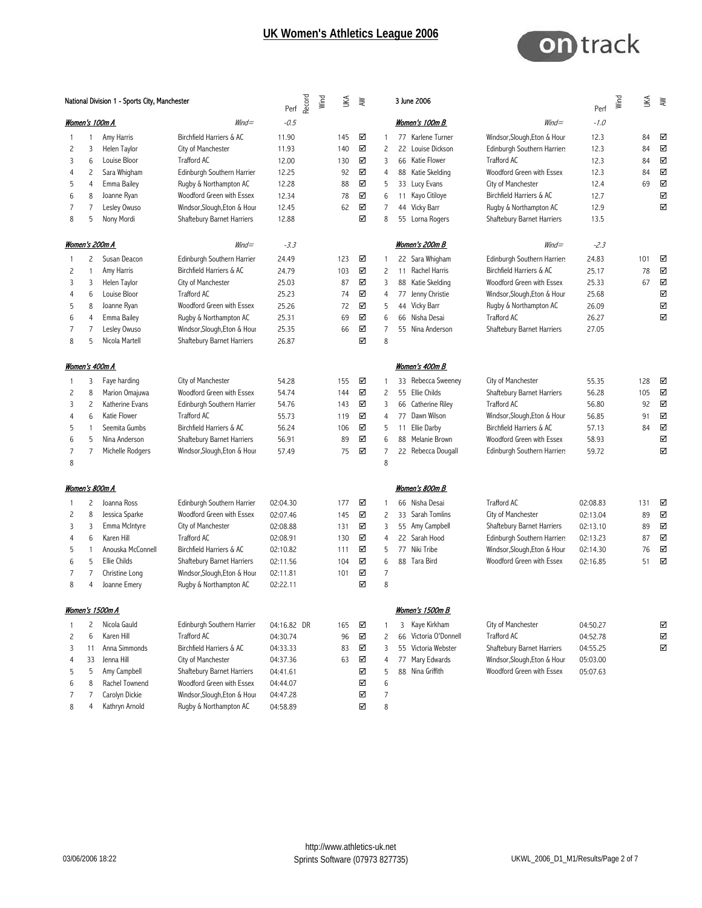

|                | National Division 1 - Sports City, Manchester |                   |                              | Record<br>Perf | Wind | ₹   | λW |                | 3 June 2006              |                              | Perf     | Wind | ŠК  | ξ                       |
|----------------|-----------------------------------------------|-------------------|------------------------------|----------------|------|-----|----|----------------|--------------------------|------------------------------|----------|------|-----|-------------------------|
|                |                                               | Women's 100m A    | $W\!ind =$                   | $-0.5$         |      |     |    |                | Women's 100m B           | $W\!ind =$                   | $-1.0$   |      |     |                         |
| 1              |                                               | Amy Harris        | Birchfield Harriers & AC     | 11.90          |      | 145 | ☑  | $\overline{1}$ | 77 Karlene Turner        | Windsor, Slough, Eton & Hour | 12.3     |      | 84  | ☑                       |
| 2              | 3                                             | Helen Taylor      | City of Manchester           | 11.93          |      | 140 | ☑  | $\overline{c}$ | Louise Dickson<br>22     | Edinburgh Southern Harriers  | 12.3     |      | 84  | ☑                       |
| 3              | 6                                             | Louise Bloor      | <b>Trafford AC</b>           | 12.00          |      | 130 | ☑  | 3              | 66 Katie Flower          | Trafford AC                  | 12.3     |      | 84  | ☑                       |
| 4              | $\overline{c}$                                | Sara Whigham      | Edinburgh Southern Harrier   | 12.25          |      | 92  | ☑  | $\overline{4}$ | Katie Skelding<br>88     | Woodford Green with Essex    | 12.3     |      | 84  | ☑                       |
| 5              | 4                                             | Emma Bailey       | Rugby & Northampton AC       | 12.28          |      | 88  | ☑  | 5              | 33 Lucy Evans            | City of Manchester           | 12.4     |      | 69  | $\overline{\mathsf{M}}$ |
| 6              | 8                                             | Joanne Ryan       | Woodford Green with Essex    | 12.34          |      | 78  | ☑  | 6              | Kayo Citiloye<br>11      | Birchfield Harriers & AC     | 12.7     |      |     | ☑                       |
| 7              | 7                                             | Lesley Owuso      | Windsor, Slough, Eton & Hour | 12.45          |      | 62  | ☑  | $\overline{7}$ | 44 Vicky Barr            | Rugby & Northampton AC       | 12.9     |      |     | ☑                       |
| 8              | 5                                             | Nony Mordi        | Shaftebury Barnet Harriers   | 12.88          |      |     | ☑  | 8              | 55 Lorna Rogers          | Shaftebury Barnet Harriers   | 13.5     |      |     |                         |
|                |                                               | Women's 200m A    | $W\!ind =$                   | $-3.3$         |      |     |    |                | Women's 200m B           | $W\!ind =$                   | $-2.3$   |      |     |                         |
| 1              | 2                                             | Susan Deacon      | Edinburgh Southern Harrier   | 24.49          |      | 123 | ☑  | $\mathbf{1}$   | 22 Sara Whigham          | Edinburgh Southern Harriers  | 24.83    |      | 101 | ☑                       |
| 2              | 1                                             | Amy Harris        | Birchfield Harriers & AC     | 24.79          |      | 103 | ☑  | $\overline{c}$ | Rachel Harris<br>11      | Birchfield Harriers & AC     | 25.17    |      | 78  | ☑                       |
| 3              | 3                                             | Helen Taylor      | City of Manchester           | 25.03          |      | 87  | ☑  | 3              | Katie Skelding<br>88     | Woodford Green with Essex    | 25.33    |      | 67  | ☑                       |
| 4              | 6                                             | Louise Bloor      | <b>Trafford AC</b>           | 25.23          |      | 74  | ☑  | $\overline{4}$ | 77 Jenny Christie        | Windsor, Slough, Eton & Hour | 25.68    |      |     | ☑                       |
| 5              | 8                                             | Joanne Ryan       | Woodford Green with Essex    | 25.26          |      | 72  | ☑  | 5              | Vicky Barr<br>44         | Rugby & Northampton AC       | 26.09    |      |     | ☑                       |
| 6              | 4                                             | Emma Bailey       | Rugby & Northampton AC       | 25.31          |      | 69  | ☑  | 6              | 66 Nisha Desai           | Trafford AC                  | 26.27    |      |     | ☑                       |
| 7              | 7                                             | Lesley Owuso      | Windsor, Slough, Eton & Hour | 25.35          |      | 66  | ☑  | 7              | 55 Nina Anderson         | Shaftebury Barnet Harriers   | 27.05    |      |     |                         |
| 8              | 5                                             | Nicola Martell    | Shaftebury Barnet Harriers   | 26.87          |      |     | ☑  | 8              |                          |                              |          |      |     |                         |
|                |                                               | Women's 400m A    |                              |                |      |     |    |                | Women's 400m B           |                              |          |      |     |                         |
| 1              | 3                                             | Faye harding      | City of Manchester           | 54.28          |      | 155 | ☑  | $\mathbf{1}$   | 33 Rebecca Sweeney       | City of Manchester           | 55.35    |      | 128 | ☑                       |
| 2              | 8                                             | Marion Omajuwa    | Woodford Green with Essex    | 54.74          |      | 144 | ☑  | $\overline{c}$ | 55 Ellie Childs          | Shaftebury Barnet Harriers   | 56.28    |      | 105 | ☑                       |
| 3              | $\overline{c}$                                | Katherine Evans   | Edinburgh Southern Harrier   | 54.76          |      | 143 | ☑  | 3              | Catherine Riley<br>66    | <b>Trafford AC</b>           | 56.80    |      | 92  | ☑                       |
| 4              | 6                                             | Katie Flower      | <b>Trafford AC</b>           | 55.73          |      | 119 | ☑  | $\overline{4}$ | 77 Dawn Wilson           | Windsor, Slough, Eton & Hour | 56.85    |      | 91  | ☑                       |
| 5              | 1                                             | Seemita Gumbs     | Birchfield Harriers & AC     | 56.24          |      | 106 | ☑  | 5              | Ellie Darby<br>11        | Birchfield Harriers & AC     | 57.13    |      | 84  | ☑                       |
| 6              | 5                                             | Nina Anderson     | Shaftebury Barnet Harriers   | 56.91          |      | 89  | ☑  | 6              | Melanie Brown<br>88      | Woodford Green with Essex    | 58.93    |      |     | $\boxtimes$             |
| $\overline{7}$ | 7                                             | Michelle Rodgers  | Windsor, Slough, Eton & Hour | 57.49          |      | 75  | ☑  | $\overline{7}$ | 22 Rebecca Dougall       | Edinburgh Southern Harriers  | 59.72    |      |     | ☑                       |
| 8              |                                               |                   |                              |                |      |     |    | 8              |                          |                              |          |      |     |                         |
|                |                                               | Women's 800m A    |                              |                |      |     |    |                | Women's 800m B           |                              |          |      |     |                         |
| 1              | 2                                             | Joanna Ross       | Edinburgh Southern Harrier   | 02:04.30       |      | 177 | ☑  | $\mathbf{1}$   | 66 Nisha Desai           | <b>Trafford AC</b>           | 02:08.83 |      | 131 | ☑                       |
| 2              | 8                                             | Jessica Sparke    | Woodford Green with Essex    | 02:07.46       |      | 145 | ☑  | $\overline{c}$ | 33 Sarah Tomlins         | City of Manchester           | 02:13.04 |      | 89  | ☑                       |
| 3              | 3                                             | Emma McIntyre     | City of Manchester           | 02:08.88       |      | 131 | ☑  | 3              | 55 Amy Campbell          | Shaftebury Barnet Harriers   | 02:13.10 |      | 89  | ☑                       |
| 4              | 6                                             | Karen Hill        | <b>Trafford AC</b>           | 02:08.91       |      | 130 | ☑  | $\overline{4}$ | 22 Sarah Hood            | Edinburgh Southern Harriers  | 02:13.23 |      | 87  | ☑                       |
| 5              | 1                                             | Anouska McConnell | Birchfield Harriers & AC     | 02:10.82       |      | 111 | ☑  | 5              | 77 Niki Tribe            | Windsor, Slough, Eton & Hour | 02:14.30 |      | 76  | ⊽                       |
| 6              | 5                                             | Ellie Childs      | Shaftebury Barnet Harriers   | 02:11.56       |      | 104 | ☑  | 6              | 88 Tara Bird             | Woodford Green with Essex    | 02:16.85 |      | 51  | ⊽                       |
| 7              | 7                                             | Christine Long    | Windsor, Slough, Eton & Hour | 02:11.81       |      | 101 | ☑  | $\overline{7}$ |                          |                              |          |      |     |                         |
| 8              | 4                                             | Joanne Emery      | Rugby & Northampton AC       | 02:22.11       |      |     | ☑  | 8              |                          |                              |          |      |     |                         |
|                |                                               | Women's 1500m A   |                              |                |      |     |    |                | Women's 1500m B          |                              |          |      |     |                         |
| 1              | 2                                             | Nicola Gauld      | Edinburgh Southern Harrier   | 04:16.82 DR    |      | 165 | ☑  | $\mathbf{1}$   | Kaye Kirkham<br>3        | City of Manchester           | 04:50.27 |      |     | ☑                       |
| 2              | 6                                             | Karen Hill        | Trafford AC                  | 04:30.74       |      | 96  | ☑  | $\overline{c}$ | Victoria O'Donnell<br>66 | Trafford AC                  | 04:52.78 |      |     | ☑                       |
| 3              | 11                                            | Anna Simmonds     | Birchfield Harriers & AC     | 04:33.33       |      | 83  | ☑  | 3              | 55 Victoria Webster      | Shaftebury Barnet Harriers   | 04:55.25 |      |     | ☑                       |
| 4              | 33                                            | Jenna Hill        | City of Manchester           | 04:37.36       |      | 63  | ☑  | $\overline{4}$ | 77 Mary Edwards          | Windsor, Slough, Eton & Hour | 05:03.00 |      |     |                         |
| 5              | 5                                             | Amy Campbell      | Shaftebury Barnet Harriers   | 04:41.61       |      |     | ☑  | 5              | 88 Nina Griffith         | Woodford Green with Essex    | 05:07.63 |      |     |                         |
| 6              | 8                                             | Rachel Townend    | Woodford Green with Essex    | 04:44.07       |      |     | ☑  | 6              |                          |                              |          |      |     |                         |
| 7              | 7                                             | Carolyn Dickie    | Windsor, Slough, Eton & Hour | 04:47.28       |      |     | ☑  | $\overline{7}$ |                          |                              |          |      |     |                         |
| 8              | 4                                             | Kathryn Arnold    | Rugby & Northampton AC       | 04:58.89       |      |     | ☑  | 8              |                          |                              |          |      |     |                         |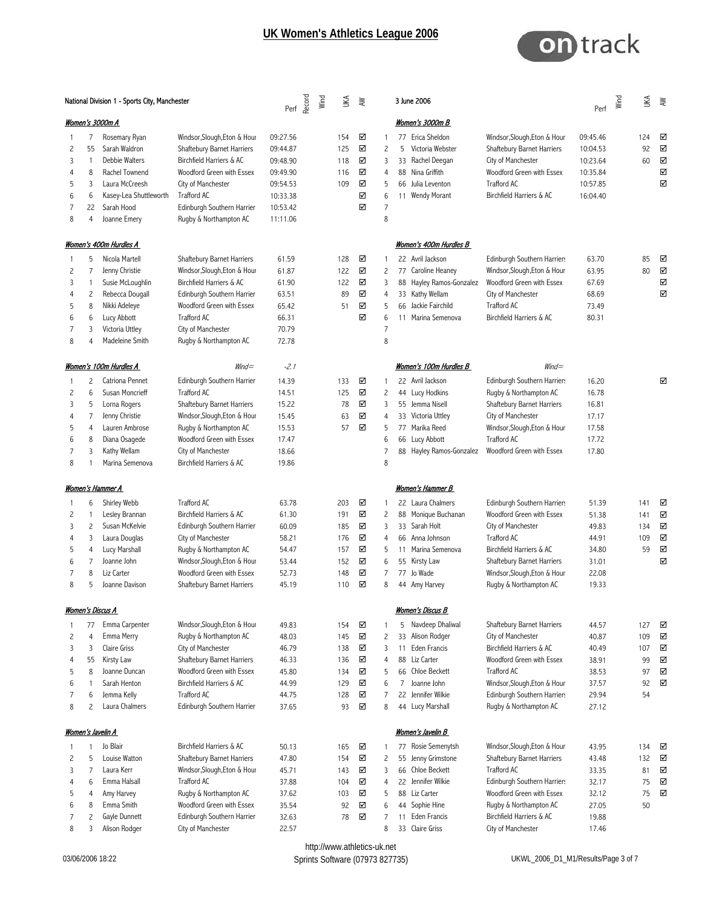

|                                      | National Division 1 - Sports City, Manchester     |                                                                                                                                                   |                                                                                                                                                                                                                         | Perf                                                                                         | Record<br>Wind | ŠК                                                   | ≹                                    |                                                                | 3 June 2006                                                                                                                                                                                       |                                                                                                                                                                                                                   | Perf $\sum_{i=1}^{n}$                                                | ¥                                         | ξ                          |
|--------------------------------------|---------------------------------------------------|---------------------------------------------------------------------------------------------------------------------------------------------------|-------------------------------------------------------------------------------------------------------------------------------------------------------------------------------------------------------------------------|----------------------------------------------------------------------------------------------|----------------|------------------------------------------------------|--------------------------------------|----------------------------------------------------------------|---------------------------------------------------------------------------------------------------------------------------------------------------------------------------------------------------|-------------------------------------------------------------------------------------------------------------------------------------------------------------------------------------------------------------------|----------------------------------------------------------------------|-------------------------------------------|----------------------------|
|                                      |                                                   | Women's 3000m A                                                                                                                                   |                                                                                                                                                                                                                         |                                                                                              |                |                                                      |                                      |                                                                | <b>Women's 3000m B</b>                                                                                                                                                                            |                                                                                                                                                                                                                   |                                                                      |                                           |                            |
| 1<br>2<br>3<br>4<br>5<br>6<br>7<br>8 | 7<br>55<br>1<br>8<br>3<br>6<br>22<br>4            | Rosemary Ryan<br>Sarah Waldron<br>Debbie Walters<br>Rachel Townend<br>Laura McCreesh<br>Kasey-Lea Shuttleworth<br>Sarah Hood<br>Joanne Emery      | Windsor, Slough, Eton & Hour<br>Shaftebury Barnet Harriers<br>Birchfield Harriers & AC<br>Woodford Green with Essex<br>City of Manchester<br>Trafford AC<br>Edinburgh Southern Harrier<br>Rugby & Northampton AC        | 09:27.56<br>09:44.87<br>09:48.90<br>09:49.90<br>09:54.53<br>10:33.38<br>10:53.42<br>11:11.06 |                | 154<br>125<br>118<br>116<br>109                      | ☑<br>☑<br>☑<br>☑<br>☑<br>☑<br>☑      | $\mathbf{1}$<br>2<br>3<br>4<br>5<br>6<br>$\overline{7}$<br>8   | 77 Erica Sheldon<br>Victoria Webster<br>5<br>33 Rachel Deegan<br>88 Nina Griffith<br>66 Julia Leventon<br>11 Wendy Morant                                                                         | Windsor, Slough, Eton & Hour<br>Shaftebury Barnet Harriers<br>City of Manchester<br>Woodford Green with Essex<br><b>Trafford AC</b><br>Birchfield Harriers & AC                                                   | 09:45.46<br>10:04.53<br>10:23.64<br>10:35.84<br>10:57.85<br>16:04.40 | 124<br>92<br>60                           | ☑<br>☑<br>☑<br>☑<br>☑      |
|                                      |                                                   | Women's 400m Hurdles A                                                                                                                            |                                                                                                                                                                                                                         |                                                                                              |                |                                                      |                                      |                                                                | Women's 400m Hurdles B                                                                                                                                                                            |                                                                                                                                                                                                                   |                                                                      |                                           |                            |
| 1<br>2<br>3<br>4<br>5<br>6<br>7<br>8 | 5<br>7<br>1<br>2<br>8<br>6<br>3<br>$\overline{4}$ | Nicola Martell<br>Jenny Christie<br>Susie McLoughlin<br>Rebecca Dougall<br>Nikki Adeleye<br>Lucy Abbott<br>Victoria Uttley<br>Madeleine Smith     | Shaftebury Barnet Harriers<br>Windsor, Slough, Eton & Hour<br>Birchfield Harriers & AC<br>Edinburgh Southern Harrier<br>Woodford Green with Essex<br><b>Trafford AC</b><br>City of Manchester<br>Rugby & Northampton AC | 61.59<br>61.87<br>61.90<br>63.51<br>65.42<br>66.31<br>70.79<br>72.78                         |                | 128<br>122<br>122<br>89<br>51                        | ☑<br>☑<br>☑<br>☑<br>☑<br>☑           | $\overline{c}$<br>3<br>4<br>5<br>6<br>7<br>8                   | 22 Avril Jackson<br>77 Caroline Heaney<br>88 Hayley Ramos-Gonzalez<br>33 Kathy Wellam<br>66 Jackie Fairchild<br>Marina Semenova<br>$11 -$                                                         | Edinburgh Southern Harriers<br>Windsor, Slough, Eton & Hour<br>Woodford Green with Essex<br>City of Manchester<br><b>Trafford AC</b><br>Birchfield Harriers & AC                                                  | 63.70<br>63.95<br>67.69<br>68.69<br>73.49<br>80.31                   | 85<br>80                                  | ☑<br>☑<br>☑<br>☑           |
|                                      |                                                   | Women's 100m Hurdles A                                                                                                                            | $Wind =$                                                                                                                                                                                                                | $-2.1$                                                                                       |                |                                                      |                                      |                                                                | Women's 100m Hurdles B                                                                                                                                                                            | $W\!ind =$                                                                                                                                                                                                        |                                                                      |                                           |                            |
| 1<br>2<br>3<br>4<br>5<br>6<br>7<br>8 | 2<br>6<br>5<br>7<br>4<br>8<br>3                   | Catriona Pennet<br>Susan Moncrieff<br>Lorna Rogers<br>Jenny Christie<br>Lauren Ambrose<br>Diana Osagede<br>Kathy Wellam<br>Marina Semenova        | Edinburgh Southern Harrier<br><b>Trafford AC</b><br>Shaftebury Barnet Harriers<br>Windsor, Slough, Eton & Hour<br>Rugby & Northampton AC<br>Woodford Green with Essex<br>City of Manchester<br>Birchfield Harriers & AC | 14.39<br>14.51<br>15.22<br>15.45<br>15.53<br>17.47<br>18.66<br>19.86                         |                | 133<br>125<br>78<br>63<br>57                         | ☑<br>☑<br>☑<br>☑<br>☑                | 1<br>$\overline{c}$<br>3<br>4<br>5<br>6<br>7<br>8              | 22 Avril Jackson<br>44 Lucy Hodkins<br>55 Jemma Nisell<br>33 Victoria Uttley<br>77 Marika Reed<br>66 Lucy Abbott<br>88 Hayley Ramos-Gonzalez                                                      | Edinburgh Southern Harriers<br>Rugby & Northampton AC<br>Shaftebury Barnet Harriers<br>City of Manchester<br>Windsor, Slough, Eton & Hour<br><b>Trafford AC</b><br>Woodford Green with Essex                      | 16.20<br>16.78<br>16.81<br>17.17<br>17.58<br>17.72<br>17.80          |                                           | ☑                          |
|                                      |                                                   | Women's Hammer A                                                                                                                                  |                                                                                                                                                                                                                         |                                                                                              |                |                                                      |                                      |                                                                | Women's Hammer B                                                                                                                                                                                  |                                                                                                                                                                                                                   |                                                                      |                                           |                            |
| 1<br>2<br>3<br>4<br>5<br>6<br>7<br>8 | 6<br>1<br>$\overline{c}$<br>3<br>4<br>7<br>8<br>5 | Shirley Webb<br>Lesley Brannan<br>Susan McKelvie<br>Laura Douglas<br>Lucy Marshall<br>Joanne John<br>Liz Carter<br>Joanne Davison                 | Trafford AC<br>Birchfield Harriers & AC<br>Edinburgh Southern Harrier<br>City of Manchester<br>Rugby & Northampton AC<br>Windsor, Slough, Eton & Hour<br>Woodford Green with Essex<br>Shaftebury Barnet Harriers        | 63.78<br>61.30<br>60.09<br>58.21<br>54.47<br>53.44<br>52.73<br>45.19                         |                | 203<br>191<br>185<br>176<br>157<br>152<br>148<br>110 | ☑<br>☑<br>☑<br>☑<br>☑<br>☑<br>☑<br>☑ | 1<br>2<br>3<br>4<br>5<br>6<br>7<br>8                           | 22 Laura Chalmers<br>88 Monique Buchanan<br>33 Sarah Holt<br>66 Anna Johnson<br>11 Marina Semenova<br>55 Kirsty Law<br>Jo Wade<br>77<br>44 Amy Harvey                                             | Edinburgh Southern Harriers<br>Woodford Green with Essex<br>City of Manchester<br>Trafford AC<br>Birchfield Harriers & AC<br>Shaftebury Barnet Harriers<br>Windsor, Slough, Eton & Hour<br>Rugby & Northampton AC | 51.39<br>51.38<br>49.83<br>44.91<br>34.80<br>31.01<br>22.08<br>19.33 | 141<br>141<br>134<br>109<br>59            | ☑<br>☑<br>☑<br>☑<br>☑<br>☑ |
|                                      |                                                   | <u>Women's Discus A</u>                                                                                                                           |                                                                                                                                                                                                                         |                                                                                              |                |                                                      |                                      |                                                                | <u>Women's Discus B</u>                                                                                                                                                                           |                                                                                                                                                                                                                   |                                                                      |                                           |                            |
| 1<br>2<br>3<br>4<br>5<br>6<br>7<br>8 | 77<br>4<br>3<br>55<br>8<br>1<br>6<br>2            | Emma Carpenter<br>Emma Merry<br>Claire Griss<br>Kirsty Law<br>Joanne Duncan<br>Sarah Henton<br>Jemma Kelly<br>Laura Chalmers<br>Women's Javelin A | Windsor, Slough, Eton & Hour<br>Rugby & Northampton AC<br>City of Manchester<br>Shaftebury Barnet Harriers<br>Woodford Green with Essex<br>Birchfield Harriers & AC<br>Trafford AC<br>Edinburgh Southern Harrier        | 49.83<br>48.03<br>46.79<br>46.33<br>45.80<br>44.99<br>44.75<br>37.65                         |                | 154<br>145<br>138<br>136<br>134<br>129<br>128<br>93  | ☑<br>☑<br>☑<br>☑<br>☑<br>☑<br>☑<br>☑ | 1<br>$\overline{c}$<br>3<br>$\overline{4}$<br>5<br>6<br>7<br>8 | 5 Navdeep Dhaliwal<br>33 Alison Rodger<br>Eden Francis<br>11<br>88 Liz Carter<br>66 Chloe Beckett<br>Joanne John<br>$\overline{7}$<br>22 Jennifer Wilkie<br>44 Lucy Marshall<br>Women's Javelin B | Shaftebury Barnet Harriers<br>City of Manchester<br>Birchfield Harriers & AC<br>Woodford Green with Essex<br>Trafford AC<br>Windsor, Slough, Eton & Hour<br>Edinburgh Southern Harriers<br>Rugby & Northampton AC | 44.57<br>40.87<br>40.49<br>38.91<br>38.53<br>37.57<br>29.94<br>27.12 | 127<br>109<br>107<br>99<br>97<br>92<br>54 | ☑<br>☑<br>☑<br>☑<br>☑<br>☑ |
| 1                                    | 1                                                 | Jo Blair                                                                                                                                          | Birchfield Harriers & AC                                                                                                                                                                                                | 50.13                                                                                        |                | 165                                                  | ☑                                    | 1                                                              | 77 Rosie Semenytsh                                                                                                                                                                                | Windsor, Slough, Eton & Hour                                                                                                                                                                                      | 43.95                                                                | 134                                       | ⊽                          |
| 2<br>3<br>4<br>5<br>6<br>7           | 5<br>7<br>6<br>4<br>8<br>$\overline{c}$           | Louise Watton<br>Laura Kerr<br>Emma Halsall<br>Amy Harvey<br>Emma Smith<br>Gayle Dunnett                                                          | Shaftebury Barnet Harriers<br>Windsor, Slough, Eton & Hour<br>Trafford AC<br>Rugby & Northampton AC<br>Woodford Green with Essex<br>Edinburgh Southern Harrier                                                          | 47.80<br>45.71<br>37.88<br>37.62<br>35.54<br>32.63                                           |                | 154<br>143<br>104<br>103<br>92<br>78                 | ☑<br>☑<br>☑<br>☑<br>☑<br>☑           | $\overline{c}$<br>3<br>4<br>5<br>6<br>7                        | 55 Jenny Grimstone<br>66 Chloe Beckett<br>22 Jennifer Wilkie<br>88 Liz Carter<br>44 Sophie Hine<br>11 Eden Francis                                                                                | Shaftebury Barnet Harriers<br>Trafford AC<br>Edinburgh Southern Harriers<br>Woodford Green with Essex<br>Rugby & Northampton AC<br>Birchfield Harriers & AC                                                       | 43.48<br>33.35<br>32.17<br>32.12<br>27.05<br>19.88                   | 132<br>81<br>75<br>75<br>50               | ☑<br>☑<br>☑<br>☑           |
| 8                                    | 3                                                 | Alison Rodger                                                                                                                                     | City of Manchester                                                                                                                                                                                                      | 22.57                                                                                        |                |                                                      |                                      | 8                                                              | 33 Claire Griss                                                                                                                                                                                   | City of Manchester                                                                                                                                                                                                | 17.46                                                                |                                           |                            |

http://www.athletics-uk.net<br>Sprints Software (07973 827735)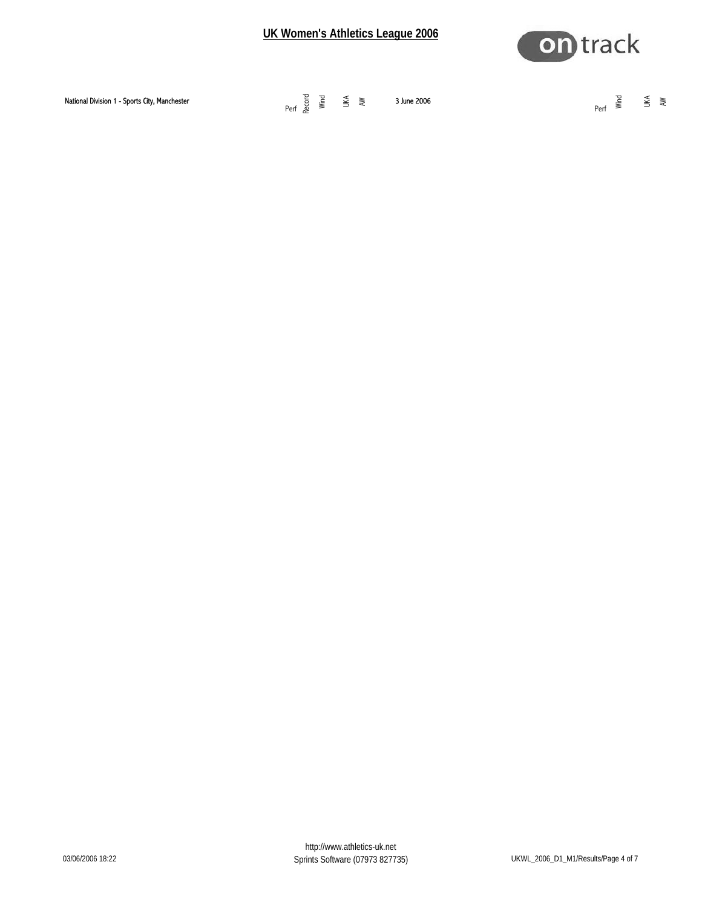

| Perf | National Division 1 - Sports City, Manchester | Perf $\underset{\text{Rec}}{\overset{\text{red}}{\text{sum}}}$ $\underset{\text{sum}}{\overset{\text{red}}{\text{sum}}}$ $\underset{\text{sum}}{\overset{\text{red}}{\text{sum}}}$<br>3 June 2006 | $\frac{1}{\sqrt{2}}$ $\frac{1}{\sqrt{2}}$<br>그 그는 그 사람들이 있다. |  |
|------|-----------------------------------------------|---------------------------------------------------------------------------------------------------------------------------------------------------------------------------------------------------|--------------------------------------------------------------|--|
|------|-----------------------------------------------|---------------------------------------------------------------------------------------------------------------------------------------------------------------------------------------------------|--------------------------------------------------------------|--|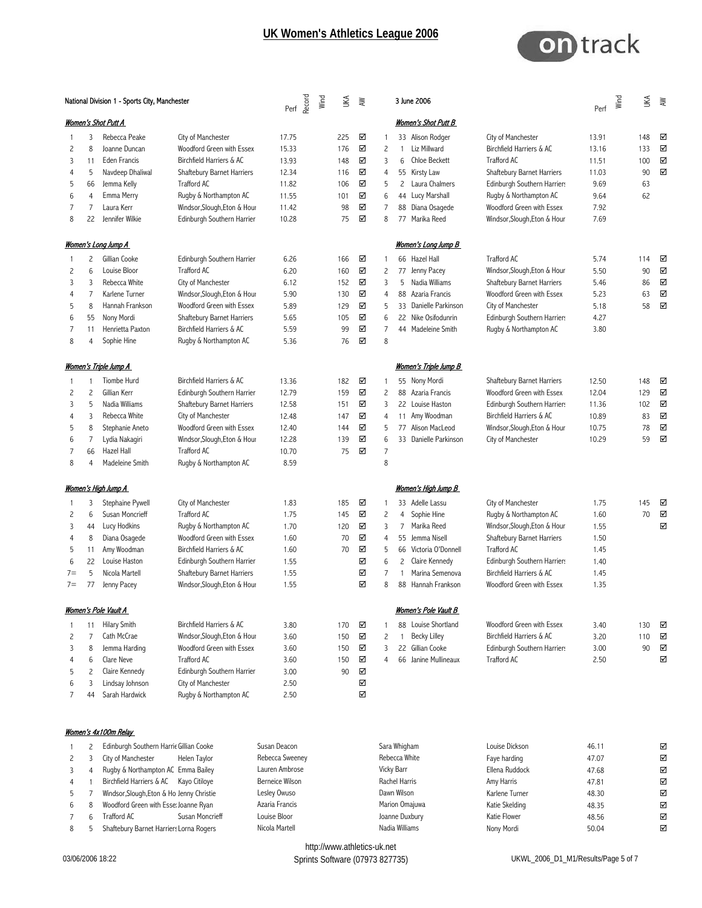

|                                             | National Division 1 - Sports City, Manchester                                 |                                                                                                                                                                      | Perf                                                                                                                                                                                                             | Record                                                              | Wind | ŠК | λW                                                 |                                      |                                                   | 3 June 2006                           |                                                                                                                                                                                       | Perf                                                                                                                                                                                                                     | Wind                                                         | l¥ | $\geqslant$                         |                            |
|---------------------------------------------|-------------------------------------------------------------------------------|----------------------------------------------------------------------------------------------------------------------------------------------------------------------|------------------------------------------------------------------------------------------------------------------------------------------------------------------------------------------------------------------|---------------------------------------------------------------------|------|----|----------------------------------------------------|--------------------------------------|---------------------------------------------------|---------------------------------------|---------------------------------------------------------------------------------------------------------------------------------------------------------------------------------------|--------------------------------------------------------------------------------------------------------------------------------------------------------------------------------------------------------------------------|--------------------------------------------------------------|----|-------------------------------------|----------------------------|
|                                             |                                                                               | <u>Women's Shot Putt A</u>                                                                                                                                           |                                                                                                                                                                                                                  |                                                                     |      |    |                                                    |                                      |                                                   |                                       | Women's Shot Putt B                                                                                                                                                                   |                                                                                                                                                                                                                          |                                                              |    |                                     |                            |
| 2<br>3<br>4                                 | 3<br>8<br>11<br>5                                                             | Rebecca Peake<br>Joanne Duncan<br><b>Eden Francis</b><br>Navdeep Dhaliwal                                                                                            | City of Manchester<br>Woodford Green with Essex<br>Birchfield Harriers & AC<br>Shaftebury Barnet Harriers                                                                                                        | 17.75<br>15.33<br>13.93<br>12.34                                    |      |    | 225<br>176<br>148<br>116                           | ☑<br>☑<br>☑<br>☑                     | 1<br>$\overline{c}$<br>3<br>4                     | $\mathbf{1}$<br>6                     | 33 Alison Rodger<br>Liz Millward<br>Chloe Beckett<br>55 Kirsty Law                                                                                                                    | City of Manchester<br>Birchfield Harriers & AC<br><b>Trafford AC</b><br>Shaftebury Barnet Harriers                                                                                                                       | 13.91<br>13.16<br>11.51<br>11.03                             |    | 148<br>133<br>100<br>90             | ☑<br>☑<br>☑<br>☑           |
| 5<br>6<br>7<br>8                            | 66<br>$\overline{4}$<br>7<br>22                                               | Jemma Kelly<br>Emma Merry<br>Laura Kerr<br>Jennifer Wilkie                                                                                                           | Trafford AC<br>Rugby & Northampton AC<br>Windsor, Slough, Eton & Hour<br>Edinburgh Southern Harrier                                                                                                              | 11.82<br>11.55<br>11.42<br>10.28                                    |      |    | 106<br>101<br>98<br>75                             | ☑<br>☑<br>☑<br>☑                     | 5<br>6<br>7<br>8                                  | $\mathbf{2}^{\prime}$                 | Laura Chalmers<br>44 Lucy Marshall<br>88 Diana Osagede<br>77 Marika Reed                                                                                                              | Edinburgh Southern Harriers<br>Rugby & Northampton AC<br>Woodford Green with Essex<br>Windsor, Slough, Eton & Hour                                                                                                       | 9.69<br>9.64<br>7.92<br>7.69                                 |    | 63<br>62                            |                            |
|                                             |                                                                               | <u>Women's Long Jump A</u>                                                                                                                                           |                                                                                                                                                                                                                  |                                                                     |      |    |                                                    |                                      |                                                   |                                       | Women's Long Jump B                                                                                                                                                                   |                                                                                                                                                                                                                          |                                                              |    |                                     |                            |
| 1<br>2<br>3<br>4<br>5<br>6<br>7<br>8        | $\overline{c}$<br>6<br>$\overline{3}$<br>7<br>8<br>55<br>11<br>$\overline{4}$ | Gillian Cooke<br>Louise Bloor<br>Rebecca White<br>Karlene Turner<br>Hannah Frankson<br>Nony Mordi<br>Henrietta Paxton<br>Sophie Hine                                 | Edinburgh Southern Harrier<br>Trafford AC<br>City of Manchester<br>Windsor, Slough, Eton & Hour<br>Woodford Green with Essex<br>Shaftebury Barnet Harriers<br>Birchfield Harriers & AC<br>Rugby & Northampton AC | 6.26<br>6.20<br>6.12<br>5.90<br>5.89<br>5.65<br>5.59<br>5.36        |      |    | 166<br>160<br>152<br>130<br>129<br>105<br>99<br>76 | ☑<br>☑<br>☑<br>☑<br>☑<br>☑<br>☑<br>☑ | 1<br>$\overline{c}$<br>3<br>4<br>5<br>6<br>7<br>8 | 77<br>5                               | 66 Hazel Hall<br>Jenny Pacey<br>Nadia Williams<br>88 Azaria Francis<br>33 Danielle Parkinson<br>22 Nike Osifodunrin<br>44 Madeleine Smith                                             | <b>Trafford AC</b><br>Windsor, Slough, Eton & Hour<br>Shaftebury Barnet Harriers<br>Woodford Green with Essex<br>City of Manchester<br>Edinburgh Southern Harriers<br>Rugby & Northampton AC                             | 5.74<br>5.50<br>5.46<br>5.23<br>5.18<br>4.27<br>3.80         |    | 114<br>90<br>86<br>63<br>58         | ☑<br>☑<br>☑<br>☑<br>☑      |
|                                             |                                                                               | <b>Women's Triple Jump A</b>                                                                                                                                         |                                                                                                                                                                                                                  |                                                                     |      |    |                                                    |                                      |                                                   |                                       | <u>Women's Triple Jump B</u>                                                                                                                                                          |                                                                                                                                                                                                                          |                                                              |    |                                     |                            |
| 1<br>2<br>3<br>4<br>5<br>6<br>7<br>8        | -1<br>$\overline{c}$<br>5<br>3<br>8<br>7<br>66<br>$\overline{4}$              | Tiombe Hurd<br>Gillian Kerr<br>Nadia Williams<br>Rebecca White<br>Stephanie Aneto<br>Lydia Nakagiri<br>Hazel Hall<br>Madeleine Smith                                 | Birchfield Harriers & AC<br>Edinburgh Southern Harrier<br>Shaftebury Barnet Harriers<br>City of Manchester<br>Woodford Green with Essex<br>Windsor, Slough, Eton & Hour<br>Trafford AC<br>Rugby & Northampton AC | 13.36<br>12.79<br>12.58<br>12.48<br>12.40<br>12.28<br>10.70<br>8.59 |      |    | 182<br>159<br>151<br>147<br>144<br>139<br>75       | ☑<br>☑<br>☑<br>☑<br>☑<br>☑<br>☑      | 1<br>2<br>3<br>4<br>5<br>6<br>$\overline{7}$<br>8 |                                       | 55 Nony Mordi<br>88 Azaria Francis<br>22 Louise Haston<br>11 Amy Woodman<br>77 Alison MacLeod<br>33 Danielle Parkinson                                                                | Shaftebury Barnet Harriers<br>Woodford Green with Essex<br>Edinburgh Southern Harriers<br>Birchfield Harriers & AC<br>Windsor, Slough, Eton & Hour<br>City of Manchester                                                 | 12.50<br>12.04<br>11.36<br>10.89<br>10.75<br>10.29           |    | 148<br>129<br>102<br>83<br>78<br>59 | ☑<br>☑<br>☑<br>☑<br>☑<br>☑ |
|                                             |                                                                               | <u>Women's High Jump A</u>                                                                                                                                           |                                                                                                                                                                                                                  |                                                                     |      |    |                                                    |                                      |                                                   |                                       | Women's High Jump B                                                                                                                                                                   |                                                                                                                                                                                                                          |                                                              |    |                                     |                            |
| 1<br>2<br>3<br>4<br>5<br>6<br>$7 =$<br>$7=$ | 3<br>6<br>44<br>8<br>11<br>22<br>5<br>77                                      | Stephaine Pywell<br>Susan Moncrieff<br>Lucy Hodkins<br>Diana Osagede<br>Amy Woodman<br>Louise Haston<br>Nicola Martell<br>Jenny Pacey<br><b>Women's Pole Vault A</b> | City of Manchester<br>Trafford AC<br>Rugby & Northampton AC<br>Woodford Green with Essex<br>Birchfield Harriers & AC<br>Edinburgh Southern Harrier<br>Shaftebury Barnet Harriers<br>Windsor, Slough, Eton & Hour | 1.83<br>1.75<br>1.70<br>1.60<br>1.60<br>1.55<br>1.55<br>1.55        |      |    | 185<br>145<br>120<br>70<br>70                      | ☑<br>☑<br>☑<br>☑<br>☑<br>☑<br>☑<br>☑ | 1<br>2<br>3<br>4<br>5<br>6<br>$\overline{7}$<br>8 | $\overline{7}$<br>2<br>$\overline{1}$ | 33 Adelle Lassu<br>4 Sophie Hine<br>Marika Reed<br>55 Jemma Nisell<br>66 Victoria O'Donnell<br>Claire Kennedy<br>Marina Semenova<br>88 Hannah Frankson<br><b>Women's Pole Vault B</b> | City of Manchester<br>Rugby & Northampton AC<br>Windsor, Slough, Eton & Hour<br>Shaftebury Barnet Harriers<br><b>Trafford AC</b><br>Edinburgh Southern Harriers<br>Birchfield Harriers & AC<br>Woodford Green with Essex | 1.75<br>1.60<br>1.55<br>1.50<br>1.45<br>1.40<br>1.45<br>1.35 |    | 145<br>70                           | ☑<br>☑<br>☑                |
| 1<br>2<br>3<br>4<br>5<br>6<br>7             | 11<br>7<br>8<br>6<br>$\overline{c}$<br>3<br>44                                | Hilary Smith<br>Cath McCrae<br>Jemma Harding<br>Clare Neve<br>Claire Kennedy<br>Lindsay Johnson<br>Sarah Hardwick                                                    | Birchfield Harriers & AC<br>Windsor, Slough, Eton & Hour<br>Woodford Green with Essex<br>Trafford AC<br>Edinburgh Southern Harrier<br>City of Manchester<br>Rugby & Northampton AC                               | 3.80<br>3.60<br>3.60<br>3.60<br>3.00<br>2.50<br>2.50                |      |    | 170<br>150<br>150<br>150<br>90                     | ☑<br>☑<br>☑<br>☑<br>☑<br>☑<br>☑      | 1<br>$\overline{c}$<br>3<br>4                     | 1                                     | 88 Louise Shortland<br><b>Becky Lilley</b><br>22 Gillian Cooke<br>66 Janine Mullineaux                                                                                                | Woodford Green with Essex<br>Birchfield Harriers & AC<br>Edinburgh Southern Harriers<br>Trafford AC                                                                                                                      | 3.40<br>3.20<br>3.00<br>2.50                                 |    | 130<br>110<br>90                    | ☑<br>☑<br>☑<br>☑           |
| 1<br>2                                      | 2<br>3                                                                        | Women's 4x100m Relay<br>Edinburgh Southern Harrie Gillian Cooke<br>City of Manchester                                                                                | Helen Taylor                                                                                                                                                                                                     | Susan Deacon<br>Rebecca Sweeney                                     |      |    |                                                    |                                      |                                                   | Sara Whigham<br>Rebecca White         |                                                                                                                                                                                       | Louise Dickson<br>Faye harding                                                                                                                                                                                           | 46.11<br>47.07                                               |    |                                     | ☑<br>☑                     |

|           | Lambargh Southern Harnt allian cooke      |                 | <b>OUSUIT DUUCH</b> | $-$            | LUUDU DIUNJUH  | <b>TV.II</b> | ÷                    |
|-----------|-------------------------------------------|-----------------|---------------------|----------------|----------------|--------------|----------------------|
|           | City of Manchester                        | Helen Tavlor    | Rebecca Sweeney     | Rebecca White  | Faye harding   | 47.07        | $\blacktriangledown$ |
| $3 \t 4$  | Rugby & Northampton AC Emma Bailey        |                 | Lauren Ambrose      | Vicky Barr     | Ellena Ruddock | 47.68        | $\blacktriangledown$ |
| $4 \quad$ | Birchfield Harriers & AC Kayo Citiloye    |                 | Berneice Wilson     | Rachel Harris  | Amy Harris     | 47.81        | $\blacktriangledown$ |
| $5 \quad$ | Windsor, Slough, Eton & Ho Jenny Christie |                 | Lesley Owuso        | Dawn Wilson    | Karlene Turner | 48.30        | $\blacktriangledown$ |
| 6 8       | Woodford Green with Esse Joanne Ryan      |                 | Azaria Francis      | Marion Omajuwa | Katie Skelding | 48.35        | $\blacktriangledown$ |
|           | Trafford AC                               | Susan Moncrieff | Louise Bloor        | Joanne Duxbury | Katie Flower   | 48.56        | ☑                    |
| 8         | Shaftebury Barnet Harriers Lorna Rogers   |                 | Nicola Martell      | Nadia Williams | Nony Mordi     | 50.04        | $\blacktriangledown$ |
|           |                                           |                 |                     |                |                |              |                      |

http://www.athletics-uk.net<br>Sprints Software (07973 827735)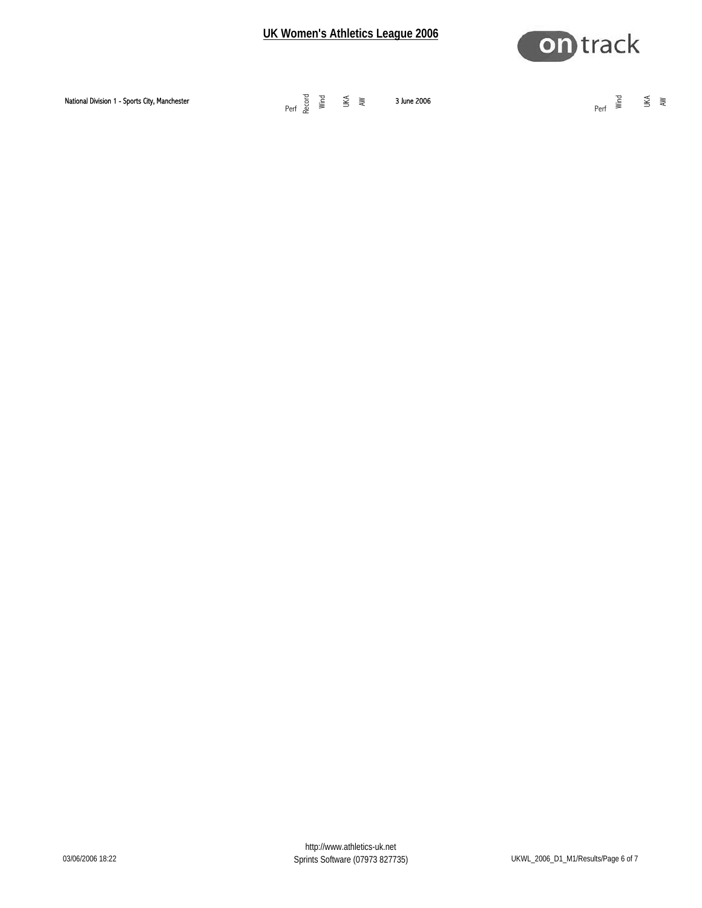

| Perf | National Division 1 - Sports City, Manchester | Perf $\underset{\text{Rec}}{\overset{\text{red}}{\text{sum}}}$ $\underset{\text{sum}}{\overset{\text{red}}{\text{sum}}}$ $\underset{\text{sum}}{\overset{\text{red}}{\text{sum}}}$<br>3 June 2006 | $\overline{a}$ $\overline{a}$ $\overline{b}$ $\overline{c}$<br>그 그는 그 사람들이 있다. |  |
|------|-----------------------------------------------|---------------------------------------------------------------------------------------------------------------------------------------------------------------------------------------------------|--------------------------------------------------------------------------------|--|
|------|-----------------------------------------------|---------------------------------------------------------------------------------------------------------------------------------------------------------------------------------------------------|--------------------------------------------------------------------------------|--|